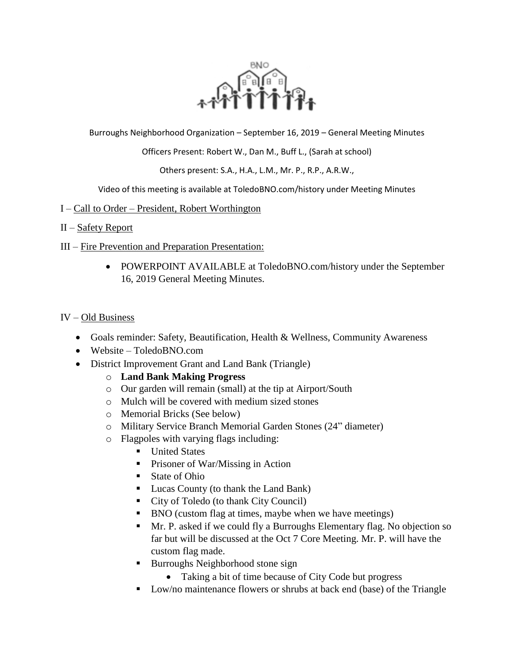

Burroughs Neighborhood Organization – September 16, 2019 – General Meeting Minutes

Officers Present: Robert W., Dan M., Buff L., (Sarah at school)

Others present: S.A., H.A., L.M., Mr. P., R.P., A.R.W.,

Video of this meeting is available at ToledoBNO.com/history under Meeting Minutes

## I – Call to Order – President, Robert Worthington

## II – Safety Report

- III Fire Prevention and Preparation Presentation:
	- POWERPOINT AVAILABLE at ToledoBNO.com/history under the September 16, 2019 General Meeting Minutes.

## IV – Old Business

- Goals reminder: Safety, Beautification, Health & Wellness, Community Awareness
- Website ToledoBNO.com
- District Improvement Grant and Land Bank (Triangle)
	- o **Land Bank Making Progress**
	- o Our garden will remain (small) at the tip at Airport/South
	- o Mulch will be covered with medium sized stones
	- o Memorial Bricks (See below)
	- o Military Service Branch Memorial Garden Stones (24" diameter)
	- o Flagpoles with varying flags including:
		- **United States**
		- **Prisoner of War/Missing in Action**
		- State of Ohio
		- Lucas County (to thank the Land Bank)
		- City of Toledo (to thank City Council)
		- BNO (custom flag at times, maybe when we have meetings)
		- Mr. P. asked if we could fly a Burroughs Elementary flag. No objection so far but will be discussed at the Oct 7 Core Meeting. Mr. P. will have the custom flag made.
		- Burroughs Neighborhood stone sign
			- Taking a bit of time because of City Code but progress
		- Low/no maintenance flowers or shrubs at back end (base) of the Triangle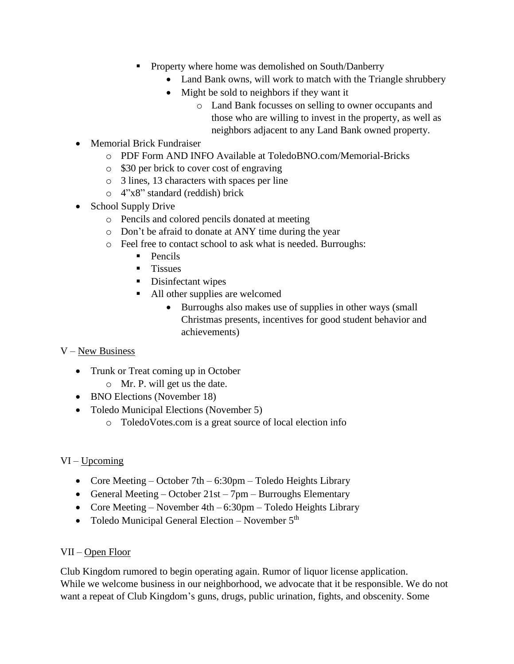- **Property where home was demolished on South/Danberry** 
	- Land Bank owns, will work to match with the Triangle shrubbery
	- Might be sold to neighbors if they want it
		- o Land Bank focusses on selling to owner occupants and those who are willing to invest in the property, as well as neighbors adjacent to any Land Bank owned property.
- Memorial Brick Fundraiser
	- o PDF Form AND INFO Available at ToledoBNO.com/Memorial-Bricks
	- o \$30 per brick to cover cost of engraving
	- o 3 lines, 13 characters with spaces per line
	- o 4"x8" standard (reddish) brick
- School Supply Drive
	- o Pencils and colored pencils donated at meeting
	- o Don't be afraid to donate at ANY time during the year
	- o Feel free to contact school to ask what is needed. Burroughs:
		- $\blacksquare$  Pencils
		- $\blacksquare$  Tissues
		- Disinfectant wipes
		- All other supplies are welcomed
			- Burroughs also makes use of supplies in other ways (small Christmas presents, incentives for good student behavior and achievements)

# V – New Business

- Trunk or Treat coming up in October
	- o Mr. P. will get us the date.
- BNO Elections (November 18)
- Toledo Municipal Elections (November 5)
	- o ToledoVotes.com is a great source of local election info

# VI – Upcoming

- Core Meeting October 7th 6:30pm Toledo Heights Library
- General Meeting October  $21st 7pm$  Burroughs Elementary
- Core Meeting November 4th 6:30pm Toledo Heights Library
- Toledo Municipal General Election November  $5<sup>th</sup>$

## VII – Open Floor

Club Kingdom rumored to begin operating again. Rumor of liquor license application. While we welcome business in our neighborhood, we advocate that it be responsible. We do not want a repeat of Club Kingdom's guns, drugs, public urination, fights, and obscenity. Some